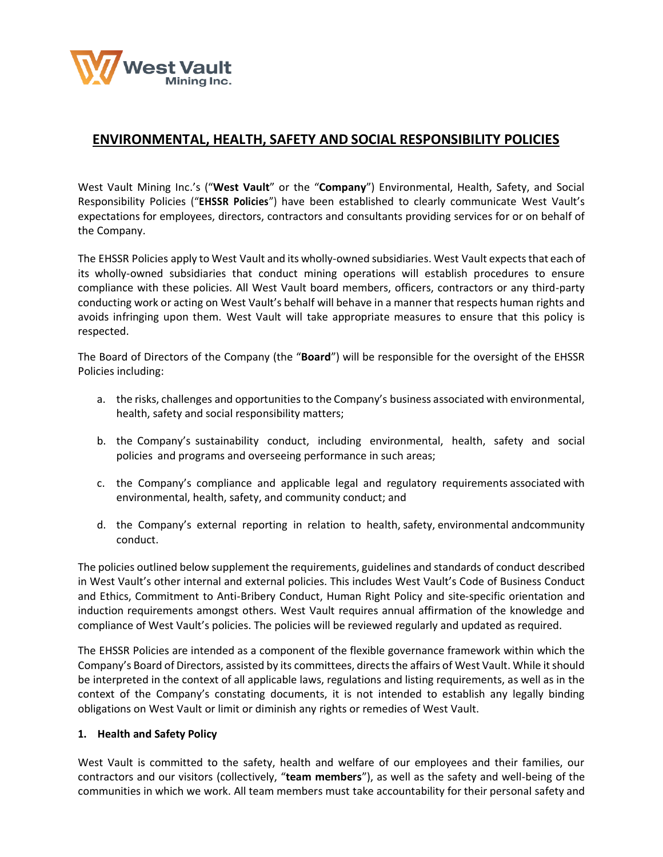

# **ENVIRONMENTAL, HEALTH, SAFETY AND SOCIAL RESPONSIBILITY POLICIES**

West Vault Mining Inc.'s ("**West Vault**" or the "**Company**") Environmental, Health, Safety, and Social Responsibility Policies ("**EHSSR Policies**") have been established to clearly communicate West Vault's expectations for employees, directors, contractors and consultants providing services for or on behalf of the Company.

The EHSSR Policies apply to West Vault and its wholly-owned subsidiaries. West Vault expectsthat each of its wholly-owned subsidiaries that conduct mining operations will establish procedures to ensure compliance with these policies. All West Vault board members, officers, contractors or any third-party conducting work or acting on West Vault's behalf will behave in a manner that respects human rights and avoids infringing upon them. West Vault will take appropriate measures to ensure that this policy is respected.

The Board of Directors of the Company (the "**Board**") will be responsible for the oversight of the EHSSR Policies including:

- a. the risks, challenges and opportunities to the Company's business associated with environmental, health, safety and social responsibility matters;
- b. the Company's sustainability conduct, including environmental, health, safety and social policies and programs and overseeing performance in such areas;
- c. the Company's compliance and applicable legal and regulatory requirements associated with environmental, health, safety, and community conduct; and
- d. the Company's external reporting in relation to health, safety, environmental andcommunity conduct.

The policies outlined below supplement the requirements, guidelines and standards of conduct described in West Vault's other internal and external policies. This includes West Vault's Code of Business Conduct and Ethics, Commitment to Anti-Bribery Conduct, Human Right Policy and site-specific orientation and induction requirements amongst others. West Vault requires annual affirmation of the knowledge and compliance of West Vault's policies. The policies will be reviewed regularly and updated as required.

The EHSSR Policies are intended as a component of the flexible governance framework within which the Company's Board of Directors, assisted by its committees, directs the affairs of West Vault. While it should be interpreted in the context of all applicable laws, regulations and listing requirements, as well as in the context of the Company's constating documents, it is not intended to establish any legally binding obligations on West Vault or limit or diminish any rights or remedies of West Vault.

### **1. Health and Safety Policy**

West Vault is committed to the safety, health and welfare of our employees and their families, our contractors and our visitors (collectively, "**team members**"), as well as the safety and well-being of the communities in which we work. All team members must take accountability for their personal safety and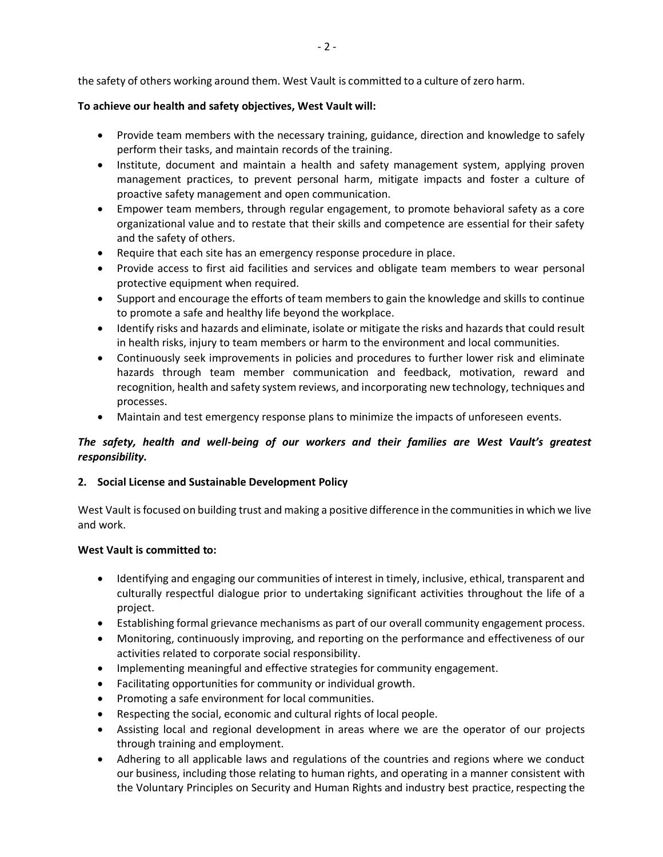the safety of others working around them. West Vault is committed to a culture of zero harm.

### **To achieve our health and safety objectives, West Vault will:**

- Provide team members with the necessary training, guidance, direction and knowledge to safely perform their tasks, and maintain records of the training.
- Institute, document and maintain a health and safety management system, applying proven management practices, to prevent personal harm, mitigate impacts and foster a culture of proactive safety management and open communication.
- Empower team members, through regular engagement, to promote behavioral safety as a core organizational value and to restate that their skills and competence are essential for their safety and the safety of others.
- Require that each site has an emergency response procedure in place.
- Provide access to first aid facilities and services and obligate team members to wear personal protective equipment when required.
- Support and encourage the efforts of team members to gain the knowledge and skills to continue to promote a safe and healthy life beyond the workplace.
- Identify risks and hazards and eliminate, isolate or mitigate the risks and hazards that could result in health risks, injury to team members or harm to the environment and local communities.
- Continuously seek improvements in policies and procedures to further lower risk and eliminate hazards through team member communication and feedback, motivation, reward and recognition, health and safety system reviews, and incorporating new technology, techniques and processes.
- Maintain and test emergency response plans to minimize the impacts of unforeseen events.

# *The safety, health and well-being of our workers and their families are West Vault's greatest responsibility.*

# **2. Social License and Sustainable Development Policy**

West Vault is focused on building trust and making a positive difference in the communities in which we live and work.

### **West Vault is committed to:**

- Identifying and engaging our communities of interest in timely, inclusive, ethical, transparent and culturally respectful dialogue prior to undertaking significant activities throughout the life of a project.
- Establishing formal grievance mechanisms as part of our overall community engagement process.
- Monitoring, continuously improving, and reporting on the performance and effectiveness of our activities related to corporate social responsibility.
- Implementing meaningful and effective strategies for community engagement.
- Facilitating opportunities for community or individual growth.
- Promoting a safe environment for local communities.
- Respecting the social, economic and cultural rights of local people.
- Assisting local and regional development in areas where we are the operator of our projects through training and employment.
- Adhering to all applicable laws and regulations of the countries and regions where we conduct our business, including those relating to human rights, and operating in a manner consistent with the Voluntary Principles on Security and Human Rights and industry best practice, respecting the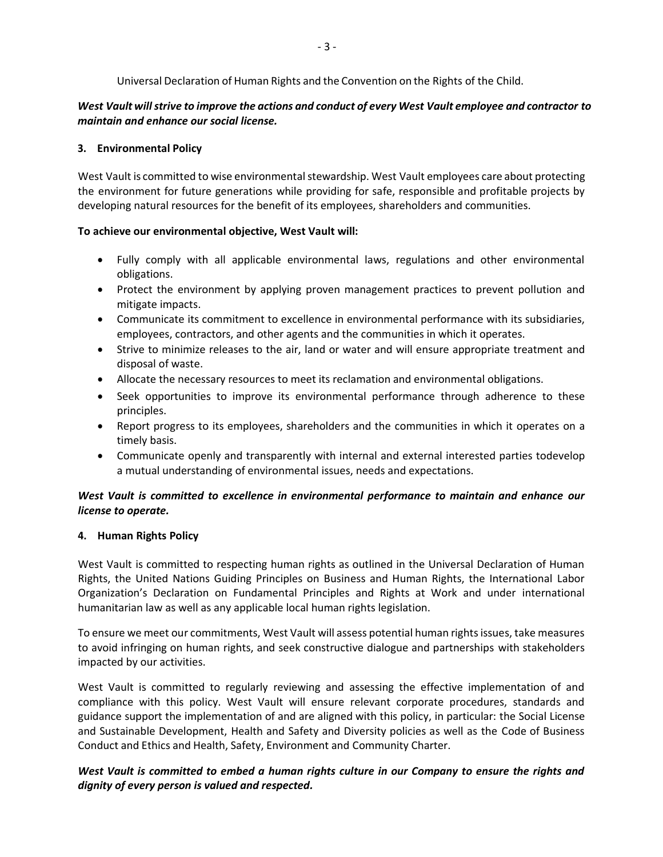Universal Declaration of Human Rights and the Convention on the Rights of the Child.

# *West Vault willstrive to improve the actions and conduct of every West Vault employee and contractor to maintain and enhance our social license.*

### **3. Environmental Policy**

West Vault is committed to wise environmental stewardship. West Vault employees care about protecting the environment for future generations while providing for safe, responsible and profitable projects by developing natural resources for the benefit of its employees, shareholders and communities.

### **To achieve our environmental objective, West Vault will:**

- Fully comply with all applicable environmental laws, regulations and other environmental obligations.
- Protect the environment by applying proven management practices to prevent pollution and mitigate impacts.
- Communicate its commitment to excellence in environmental performance with its subsidiaries, employees, contractors, and other agents and the communities in which it operates.
- Strive to minimize releases to the air, land or water and will ensure appropriate treatment and disposal of waste.
- Allocate the necessary resources to meet its reclamation and environmental obligations.
- Seek opportunities to improve its environmental performance through adherence to these principles.
- Report progress to its employees, shareholders and the communities in which it operates on a timely basis.
- Communicate openly and transparently with internal and external interested parties todevelop a mutual understanding of environmental issues, needs and expectations.

# *West Vault is committed to excellence in environmental performance to maintain and enhance our license to operate.*

# **4. Human Rights Policy**

West Vault is committed to respecting human rights as outlined in the Universal Declaration of Human Rights, the United Nations Guiding Principles on Business and Human Rights, the International Labor Organization's Declaration on Fundamental Principles and Rights at Work and under international humanitarian law as well as any applicable local human rights legislation.

To ensure we meet our commitments, West Vault will assess potential human rights issues, take measures to avoid infringing on human rights, and seek constructive dialogue and partnerships with stakeholders impacted by our activities.

West Vault is committed to regularly reviewing and assessing the effective implementation of and compliance with this policy. West Vault will ensure relevant corporate procedures, standards and guidance support the implementation of and are aligned with this policy, in particular: the Social License and Sustainable Development, Health and Safety and Diversity policies as well as the Code of Business Conduct and Ethics and Health, Safety, Environment and Community Charter.

# *West Vault is committed to embed a human rights culture in our Company to ensure the rights and dignity of every person is valued and respected.*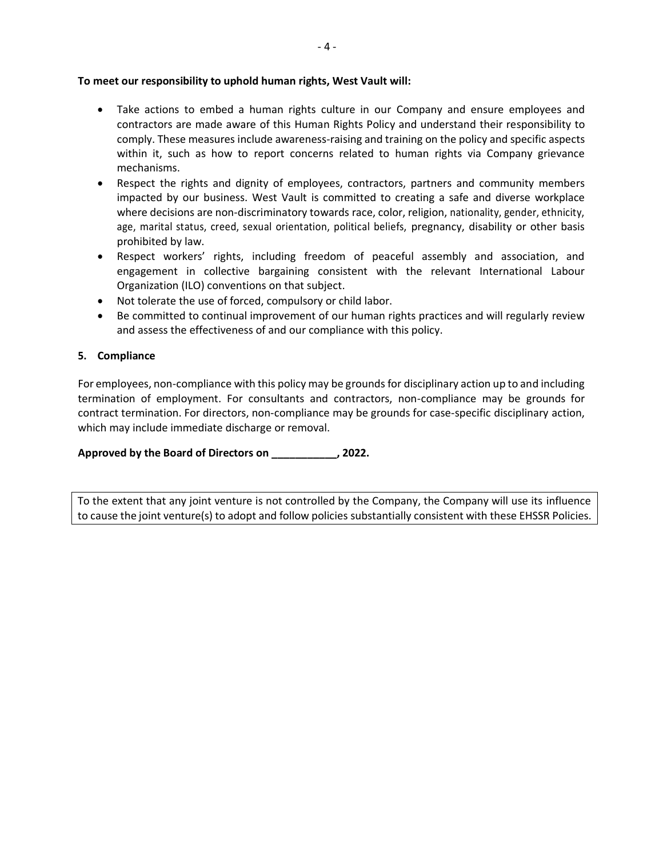#### **To meet our responsibility to uphold human rights, West Vault will:**

- Take actions to embed a human rights culture in our Company and ensure employees and contractors are made aware of this Human Rights Policy and understand their responsibility to comply. These measures include awareness-raising and training on the policy and specific aspects within it, such as how to report concerns related to human rights via Company grievance mechanisms.
- Respect the rights and dignity of employees, contractors, partners and community members impacted by our business. West Vault is committed to creating a safe and diverse workplace where decisions are non-discriminatory towards race, color, religion, nationality, gender, ethnicity, age, marital status, creed, sexual orientation, political beliefs, pregnancy, disability or other basis prohibited by law.
- Respect workers' rights, including freedom of peaceful assembly and association, and engagement in collective bargaining consistent with the relevant International Labour Organization (ILO) conventions on that subject.
- Not tolerate the use of forced, compulsory or child labor.
- Be committed to continual improvement of our human rights practices and will regularly review and assess the effectiveness of and our compliance with this policy.

### **5. Compliance**

For employees, non-compliance with this policy may be grounds for disciplinary action up to and including termination of employment. For consultants and contractors, non-compliance may be grounds for contract termination. For directors, non-compliance may be grounds for case-specific disciplinary action, which may include immediate discharge or removal.

**Approved by the Board of Directors on \_\_\_\_\_\_\_\_\_\_\_, 2022.**

To the extent that any joint venture is not controlled by the Company, the Company will use its influence to cause the joint venture(s) to adopt and follow policies substantially consistent with these EHSSR Policies.